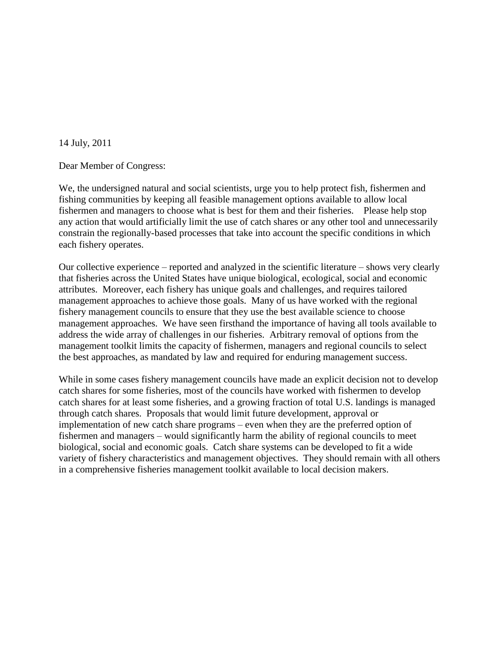14 July, 2011

Dear Member of Congress:

We, the undersigned natural and social scientists, urge you to help protect fish, fishermen and fishing communities by keeping all feasible management options available to allow local fishermen and managers to choose what is best for them and their fisheries. Please help stop any action that would artificially limit the use of catch shares or any other tool and unnecessarily constrain the regionally-based processes that take into account the specific conditions in which each fishery operates.

Our collective experience – reported and analyzed in the scientific literature – shows very clearly that fisheries across the United States have unique biological, ecological, social and economic attributes. Moreover, each fishery has unique goals and challenges, and requires tailored management approaches to achieve those goals. Many of us have worked with the regional fishery management councils to ensure that they use the best available science to choose management approaches. We have seen firsthand the importance of having all tools available to address the wide array of challenges in our fisheries. Arbitrary removal of options from the management toolkit limits the capacity of fishermen, managers and regional councils to select the best approaches, as mandated by law and required for enduring management success.

While in some cases fishery management councils have made an explicit decision not to develop catch shares for some fisheries, most of the councils have worked with fishermen to develop catch shares for at least some fisheries, and a growing fraction of total U.S. landings is managed through catch shares. Proposals that would limit future development, approval or implementation of new catch share programs – even when they are the preferred option of fishermen and managers – would significantly harm the ability of regional councils to meet biological, social and economic goals. Catch share systems can be developed to fit a wide variety of fishery characteristics and management objectives. They should remain with all others in a comprehensive fisheries management toolkit available to local decision makers.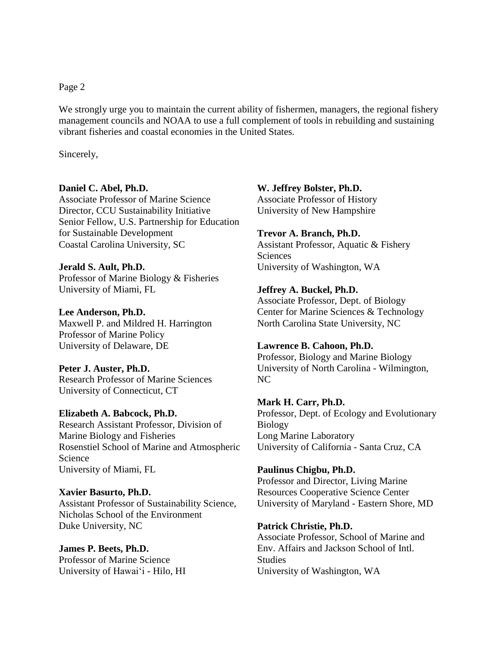Page 2

We strongly urge you to maintain the current ability of fishermen, managers, the regional fishery management councils and NOAA to use a full complement of tools in rebuilding and sustaining vibrant fisheries and coastal economies in the United States.

Sincerely,

## **Daniel C. Abel, Ph.D.**

Associate Professor of Marine Science Director, CCU Sustainability Initiative Senior Fellow, U.S. Partnership for Education for Sustainable Development Coastal Carolina University, SC

**Jerald S. Ault, Ph.D.** Professor of Marine Biology & Fisheries University of Miami, FL

**Lee Anderson, Ph.D.** Maxwell P. and Mildred H. Harrington Professor of Marine Policy University of Delaware, DE

**Peter J. Auster, Ph.D.** Research Professor of Marine Sciences University of Connecticut, CT

**Elizabeth A. Babcock, Ph.D.** Research Assistant Professor, Division of Marine Biology and Fisheries Rosenstiel School of Marine and Atmospheric Science University of Miami, FL

**Xavier Basurto, Ph.D.** Assistant Professor of Sustainability Science, Nicholas School of the Environment Duke University, NC

**James P. Beets, Ph.D.** Professor of Marine Science University of Hawai'i - Hilo, HI

**W. Jeffrey Bolster, Ph.D.** Associate Professor of History University of New Hampshire

## **Trevor A. Branch, Ph.D.**

Assistant Professor, Aquatic & Fishery Sciences University of Washington, WA

## **Jeffrey A. Buckel, Ph.D.**

Associate Professor, Dept. of Biology Center for Marine Sciences & Technology North Carolina State University, NC

## **Lawrence B. Cahoon, Ph.D.**

Professor, Biology and Marine Biology University of North Carolina - Wilmington, NC

**Mark H. Carr, Ph.D.** Professor, Dept. of Ecology and Evolutionary Biology Long Marine Laboratory University of California - Santa Cruz, CA

**Paulinus Chigbu, Ph.D.** Professor and Director, Living Marine Resources Cooperative Science Center University of Maryland - Eastern Shore, MD

## **Patrick Christie, Ph.D.**

Associate Professor, School of Marine and Env. Affairs and Jackson School of Intl. **Studies** University of Washington, WA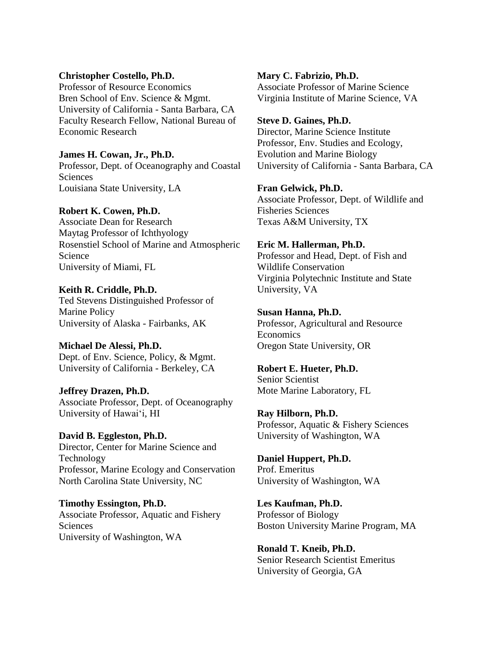#### **Christopher Costello, Ph.D.**

Professor of Resource Economics Bren School of Env. Science & Mgmt. University of California - Santa Barbara, CA Faculty Research Fellow, National Bureau of Economic Research

**James H. Cowan, Jr., Ph.D.** Professor, Dept. of Oceanography and Coastal **Sciences** Louisiana State University, LA

#### **Robert K. Cowen, Ph.D.**

Associate Dean for Research Maytag Professor of Ichthyology Rosenstiel School of Marine and Atmospheric Science University of Miami, FL

**Keith R. Criddle, Ph.D.**

Ted Stevens Distinguished Professor of Marine Policy University of Alaska - Fairbanks, AK

**Michael De Alessi, Ph.D.** Dept. of Env. Science, Policy, & Mgmt. University of California - Berkeley, CA

**Jeffrey Drazen, Ph.D.** Associate Professor, Dept. of Oceanography University of Hawai'i, HI

**David B. Eggleston, Ph.D.** Director, Center for Marine Science and Technology Professor, Marine Ecology and Conservation North Carolina State University, NC

**Timothy Essington, Ph.D.** Associate Professor, Aquatic and Fishery Sciences University of Washington, WA

**Mary C. Fabrizio, Ph.D.** Associate Professor of Marine Science Virginia Institute of Marine Science, VA

**Steve D. Gaines, Ph.D.** Director, Marine Science Institute Professor, Env. Studies and Ecology, Evolution and Marine Biology University of California - Santa Barbara, CA

**Fran Gelwick, Ph.D.** Associate Professor, Dept. of Wildlife and Fisheries Sciences Texas A&M University, TX

**Eric M. Hallerman, Ph.D.** Professor and Head, Dept. of Fish and Wildlife Conservation Virginia Polytechnic Institute and State

**Susan Hanna, Ph.D.** Professor, Agricultural and Resource Economics Oregon State University, OR

**Robert E. Hueter, Ph.D.** Senior Scientist Mote Marine Laboratory, FL

University, VA

**Ray Hilborn, Ph.D.** Professor, Aquatic & Fishery Sciences University of Washington, WA

**Daniel Huppert, Ph.D.** Prof. Emeritus University of Washington, WA

**Les Kaufman, Ph.D.** Professor of Biology Boston University Marine Program, MA

**Ronald T. Kneib, Ph.D.** Senior Research Scientist Emeritus University of Georgia, GA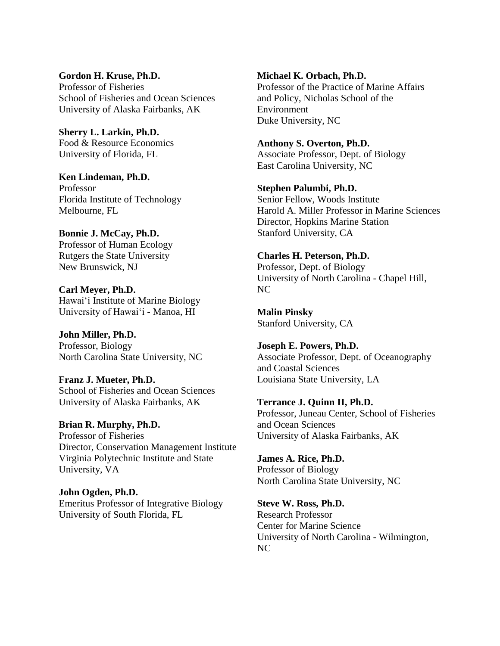**Gordon H. Kruse, Ph.D.** Professor of Fisheries School of Fisheries and Ocean Sciences University of Alaska Fairbanks, AK

**Sherry L. Larkin, Ph.D.** Food & Resource Economics University of Florida, FL

**Ken Lindeman, Ph.D.** Professor Florida Institute of Technology Melbourne, FL

**Bonnie J. McCay, Ph.D.** Professor of Human Ecology Rutgers the State University New Brunswick, NJ

**Carl Meyer, Ph.D.** Hawai'i Institute of Marine Biology University of Hawai'i - Manoa, HI

**John Miller, Ph.D.** Professor, Biology North Carolina State University, NC

**Franz J. Mueter, Ph.D.** School of Fisheries and Ocean Sciences University of Alaska Fairbanks, AK

**Brian R. Murphy, Ph.D.** Professor of Fisheries Director, Conservation Management Institute Virginia Polytechnic Institute and State University, VA

**John Ogden, Ph.D.** Emeritus Professor of Integrative Biology University of South Florida, FL

**Michael K. Orbach, Ph.D.** Professor of the Practice of Marine Affairs and Policy, Nicholas School of the Environment Duke University, NC

**Anthony S. Overton, Ph.D.** Associate Professor, Dept. of Biology East Carolina University, NC

**Stephen Palumbi, Ph.D.** Senior Fellow, Woods Institute Harold A. Miller Professor in Marine Sciences Director, Hopkins Marine Station Stanford University, CA

**Charles H. Peterson, Ph.D.** Professor, Dept. of Biology University of North Carolina - Chapel Hill, NC

**Malin Pinsky** Stanford University, CA

**Joseph E. Powers, Ph.D.** Associate Professor, Dept. of Oceanography and Coastal Sciences Louisiana State University, LA

**Terrance J. Quinn II, Ph.D.** Professor, Juneau Center, School of Fisheries and Ocean Sciences University of Alaska Fairbanks, AK

**James A. Rice, Ph.D.** Professor of Biology North Carolina State University, NC

**Steve W. Ross, Ph.D.** Research Professor Center for Marine Science University of North Carolina - Wilmington, NC